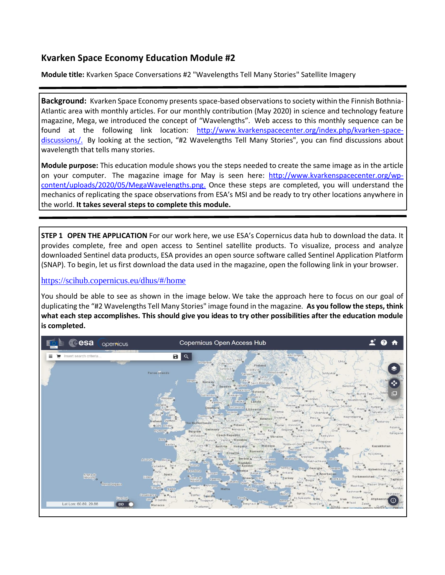## **Kvarken Space Economy Education Module #2**

**Module title:** Kvarken Space Conversations #2 "Wavelengths Tell Many Stories" Satellite Imagery

**Background:** Kvarken Space Economy presents space-based observations to society within the Finnish Bothnia-Atlantic area with monthly articles. For our monthly contribution (May 2020) in science and technology feature magazine, Mega, we introduced the concept of "Wavelengths". Web access to this monthly sequence can be found at the following link location: [http://www.kvarkenspacecenter.org/index.php/kvarken-space](http://www.kvarkenspacecenter.org/index.php/kvarken-space-discussions/)[discussions/.](http://www.kvarkenspacecenter.org/index.php/kvarken-space-discussions/) By looking at the section, "#2 Wavelengths Tell Many Stories", you can find discussions about wavelength that tells many stories.

**Module purpose:** This education module shows you the steps needed to create the same image as in the article on your computer. The magazine image for May is seen here: [http://www.kvarkenspacecenter.org/wp](http://www.kvarkenspacecenter.org/wp-content/uploads/2020/05/MegaWavelengths.png)[content/uploads/2020/05/MegaWavelengths.png.](http://www.kvarkenspacecenter.org/wp-content/uploads/2020/05/MegaWavelengths.png) Once these steps are completed, you will understand the mechanics of replicating the space observations from ESA's MSI and be ready to try other locations anywhere in the world. **It takes several steps to complete this module.**

**STEP 1 OPEN THE APPLICATION** For our work here, we use ESA's Copernicus data hub to download the data. It provides complete, free and open access to Sentinel satellite products. To visualize, process and analyze downloaded Sentinel data products, ESA provides an open source software called Sentinel Application Platform (SNAP). To begin, let us first download the data used in the magazine, open the following link in your browser.

<https://scihub.copernicus.eu/dhus/#/home>

You should be able to see as shown in the image below. We take the approach here to focus on our goal of duplicating the "#2 Wavelengths Tell Many Stories" image found in the magazine. **As you follow the steps, think what each step accomplishes. This should give you ideas to try other possibilities after the education module is completed.** 

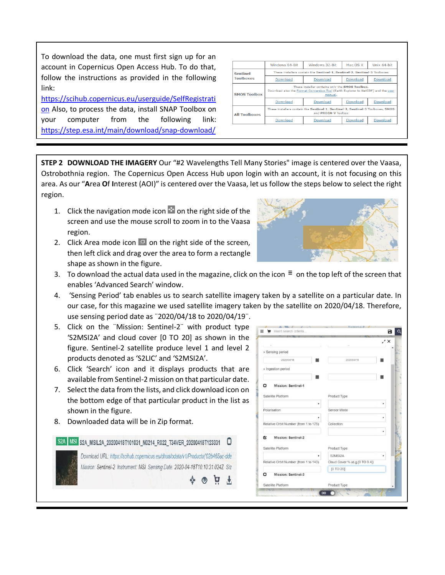To download the data, one must first sign up for an account in Copernicus Open Access Hub. To do that, follow the instructions as provided in the following link:

[https://scihub.copernicus.eu/userguide/SelfRegistrati](https://scihub.copernicus.eu/userguide/SelfRegistration) [on](https://scihub.copernicus.eu/userguide/SelfRegistration) Also, to process the data, install SNAP Toolbox on your computer from the following link: <https://step.esa.int/main/download/snap-download/>

|                      | Windows 64-Bit                                                                                                                                 | Windows 32-Bit                                                                                                | Mac OS X | Unix 64-bit |  |
|----------------------|------------------------------------------------------------------------------------------------------------------------------------------------|---------------------------------------------------------------------------------------------------------------|----------|-------------|--|
| <b>Sentinel</b>      | These installers contain the Sentinel-1, Sentinel-2, Sentinel-3 Toolboxes                                                                      |                                                                                                               |          |             |  |
| <b>Toolboxes</b>     | Download                                                                                                                                       | Download                                                                                                      | Download | Download    |  |
| <b>SMOS Toolbox</b>  | These installer contains only the SMOS Toolbox.<br>Download also the Format Conversion Tool (Earth Explorer to NetCDF) and the user<br>manual. |                                                                                                               |          |             |  |
|                      |                                                                                                                                                |                                                                                                               |          |             |  |
|                      | Download                                                                                                                                       | Download                                                                                                      | Download | Download    |  |
| <b>All Toolboxes</b> |                                                                                                                                                | These installers contain the Sentinel-1, Sentinel-2, Sentinel-3 Toolboxes, SMOS<br>and <b>PROBA-V</b> Toolbox |          |             |  |

**STEP 2 DOWNLOAD THE IMAGERY** Our "#2 Wavelengths Tell Many Stories" image is centered over the Vaasa, Ostrobothnia region. The Copernicus Open Access Hub upon login with an account, it is not focusing on this area. As our "**A**rea **O**f **I**nterest (AOI)" is centered over the Vaasa, let us follow the steps below to select the right region.

- 1. Click the navigation mode icon  $\blacksquare$  on the right side of the screen and use the mouse scroll to zoom in to the Vaasa region.
- 2. Click Area mode icon  $\blacksquare$  on the right side of the screen, then left click and drag over the area to form a rectangle shape as shown in the figure.



- 3. To download the actual data used in the magazine, click on the icon  $\bar{=}$  on the top left of the screen that enables 'Advanced Search' window.
- 4. 'Sensing Period' tab enables us to search satellite imagery taken by a satellite on a particular date. In our case, for this magazine we used satellite imagery taken by the satellite on 2020/04/18. Therefore, use sensing period date as ¨2020/04/18 to 2020/04/19¨.
- 5. Click on the ¨Mission: Sentinel-2¨ with product type 'S2MSI2A' and cloud cover [0 TO 20] as shown in the figure. Sentinel-2 satellite produce level 1 and level 2 products denoted as 'S2LIC' and 'S2MSI2A'.
- 6. Click 'Search' icon and it displays products that are available from Sentinel-2 mission on that particular date.
- 7. Select the data from the lists, and click download icon on the bottom edge of that particular product in the list as shown in the figure.
- 8. Downloaded data will be in Zip format.

S2A MSI S2A MSIL2A 20200418T101031 N0214 R022 T34VER 20200418T123331 0 Download URL: https://scihub.copernicus.eu/dhus/odata/v1/Products/'02b465ac-dde Mission: Sentinel-2 Instrument: MSI Sensing Date: 2020-04-18T10:10:31.024Z Siz  $\div$  0 0 +

|                                       |                                | ,' x |
|---------------------------------------|--------------------------------|------|
| » Sensing period                      |                                |      |
| 2020/04/18                            | 2020/04/19                     |      |
| » Ingestion period                    |                                |      |
|                                       |                                |      |
| <b>Mission: Sentinel-1</b><br>n       |                                |      |
| Satellite Platform                    | Product Type                   |      |
|                                       |                                |      |
| Polarisation                          | Sensor Mode                    |      |
|                                       |                                | ۷    |
| Relative Orbit Number (from 1 to 175) | Collection                     |      |
| <b>Mission: Sentinel-2</b><br>Q       |                                |      |
|                                       |                                |      |
| Satellite Platform                    | Product Type                   |      |
|                                       | S2MSI2A                        |      |
| Relative Orbit Number (from 1 to 143) | Cloud Cover % (e.g.[0 TO 9.4]) |      |
|                                       | [0 TO 20]                      |      |
| <b>Mission: Sentinel-3</b><br>ם       |                                |      |
| Satellite Platform                    | Product Type                   |      |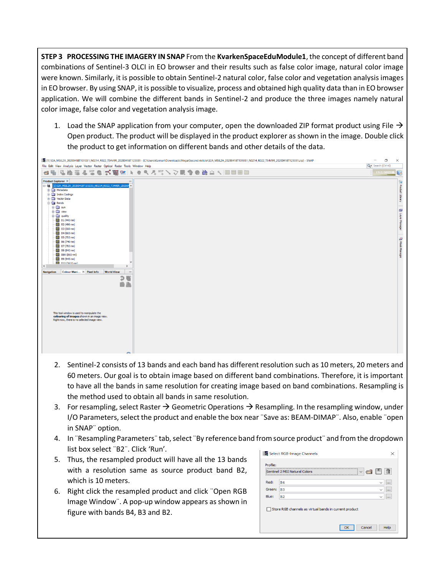**STEP 3 PROCESSING THE IMAGERY IN SNAP** From the **KvarkenSpaceEduModule1**, the concept of different band combinations of Sentinel-3 OLCI in EO browser and their results such as false color image, natural color image were known. Similarly, it is possible to obtain Sentinel-2 natural color, false color and vegetation analysis images in EO browser. By using SNAP, it is possible to visualize, process and obtained high quality data than in EO browser application. We will combine the different bands in Sentinel-2 and produce the three images namely natural color image, false color and vegetation analysis image.

1. Load the SNAP application from your computer, open the downloaded ZIP format product using File  $\rightarrow$ Open product. The product will be displayed in the product explorer as shown in the image. Double click the product to get information on different bands and other details of the data.



- 2. Sentinel-2 consists of 13 bands and each band has different resolution such as 10 meters, 20 meters and 60 meters. Our goal is to obtain image based on different band combinations. Therefore, it is important to have all the bands in same resolution for creating image based on band combinations. Resampling is the method used to obtain all bands in same resolution.
- 3. For resampling, select Raster  $\rightarrow$  Geometric Operations  $\rightarrow$  Resampling. In the resampling window, under I/O Parameters, select the product and enable the box near ¨Save as: BEAM-DIMAP¨. Also, enable ¨open in SNAP¨ option.
- 4. In ¨Resampling Parameters¨ tab, select ¨By reference band from source product¨ and from the dropdown list box select ¨B2¨. Click 'Run'.
- 5. Thus, the resampled product will have all the 13 bands with a resolution same as source product band B2, which is 10 meters.
- 6. Right click the resampled product and click ¨Open RGB Image Window¨. A pop-up window appears as shown in figure with bands B4, B3 and B2.

|        | Sentinel 2 MSI Natural Colors                          | 日道<br>$\sim$ $\leftarrow$ $\blacksquare$ |
|--------|--------------------------------------------------------|------------------------------------------|
| Red:   | <b>B4</b>                                              |                                          |
| Green: | B <sub>3</sub>                                         |                                          |
|        | <b>B2</b>                                              |                                          |
| Blue:  | Store RGB channels as virtual bands in current product |                                          |